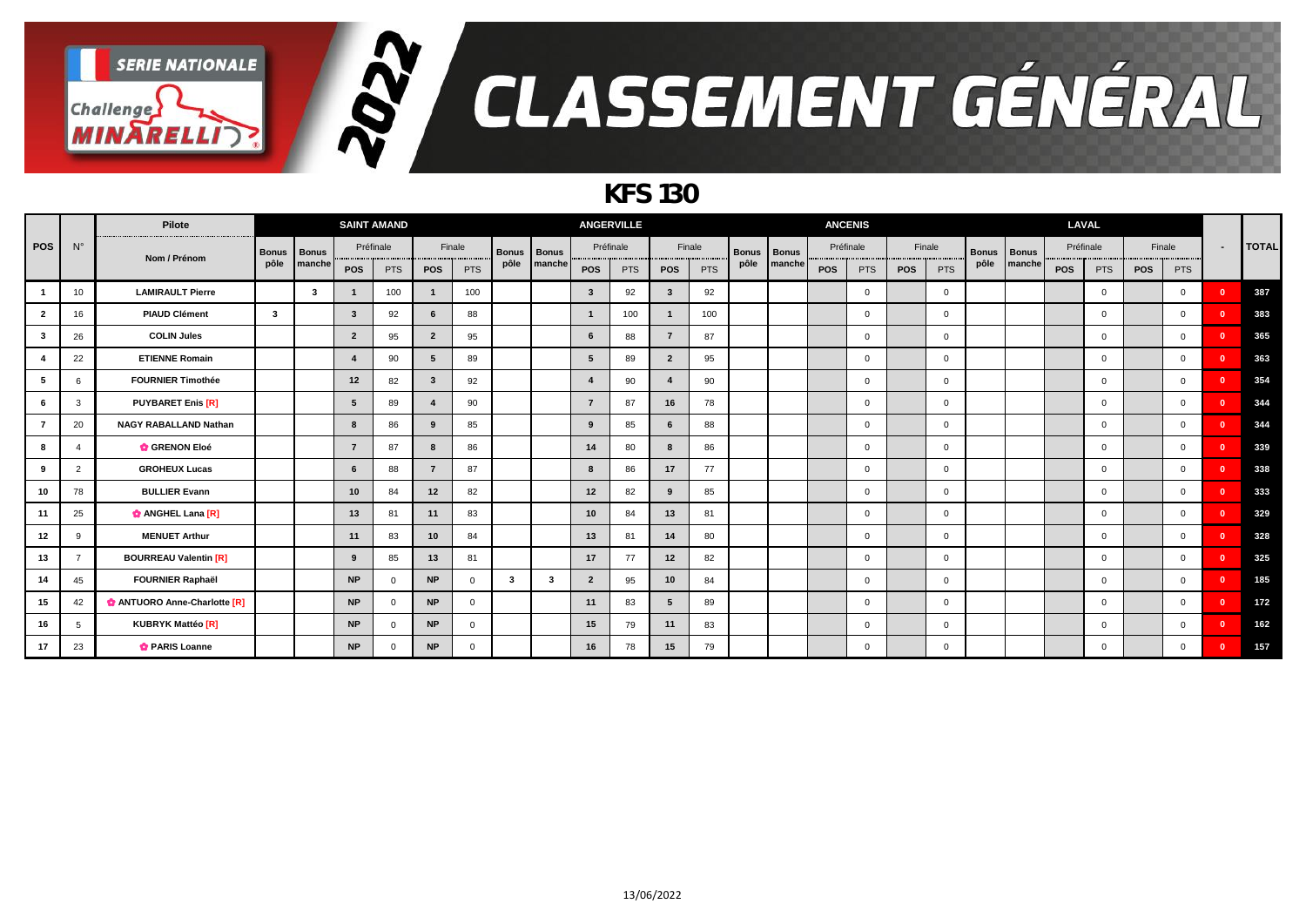

### *KFS 130*

|                |             | Pilote                       |              |              |                         | <b>SAINT AMAND</b> |                         |              |              |              |                | <b>ANGERVILLE</b> |                         |            |              |              | <b>ANCENIS</b> |                |            |                |              |              |            | LAVAL        |            |                |                |              |
|----------------|-------------|------------------------------|--------------|--------------|-------------------------|--------------------|-------------------------|--------------|--------------|--------------|----------------|-------------------|-------------------------|------------|--------------|--------------|----------------|----------------|------------|----------------|--------------|--------------|------------|--------------|------------|----------------|----------------|--------------|
| <b>POS</b>     | $N^{\circ}$ | Nom / Prénom                 | <b>Bonus</b> | <b>Bonus</b> |                         | Préfinale          |                         | Finale       | <b>Bonus</b> | <b>Bonus</b> |                | Préfinale         |                         | Finale     | <b>Bonus</b> | <b>Bonus</b> | Préfinale      |                |            | Finale         | <b>Bonus</b> | <b>Bonus</b> |            | Préfinale    | Finale     |                | $\blacksquare$ | <b>TOTAL</b> |
|                |             |                              | pôle         | manche       | POS                     | <b>PTS</b>         | <b>POS</b>              | PTS          | pôle         | manche       | <b>POS</b>     | <b>PTS</b>        | <b>POS</b>              | <b>PTS</b> | pôle         | manche       | <b>POS</b>     | <b>PTS</b>     | <b>POS</b> | <b>PTS</b>     | pôle         | manche       | <b>POS</b> | <b>PTS</b>   | <b>POS</b> | <b>PTS</b>     |                |              |
|                | 10          | <b>LAMIRAULT Pierre</b>      |              | $\mathbf{3}$ |                         | 100                | $\mathbf{1}$            | 100          |              |              | -3             | 92                | $\overline{\mathbf{3}}$ | 92         |              |              |                | $\mathbf 0$    |            | $\mathbf{0}$   |              |              |            | $\mathbf 0$  |            | $\mathbf{0}$   | n              | 387          |
| $\overline{2}$ | 16          | <b>PIAUD Clément</b>         | 3            |              | $\overline{\mathbf{3}}$ | 92                 | 6                       | 88           |              |              | $\mathbf{1}$   | 100               | $\mathbf{1}$            | 100        |              |              |                | $\mathbf{0}$   |            | $\overline{0}$ |              |              |            | $\mathbf{0}$ |            | $\mathbf{0}$   | $\sqrt{2}$     | 383          |
| -3             | 26          | <b>COLIN Jules</b>           |              |              | $\overline{2}$          | 95                 | $\overline{2}$          | 95           |              |              | 6              | 88                | $\overline{7}$          | 87         |              |              |                | $\overline{0}$ |            | $\mathbf{0}$   |              |              |            | $\mathbf{0}$ |            | $\mathbf{0}$   | $\mathbf{0}$   | 365          |
|                | 22          | <b>ETIENNE Romain</b>        |              |              | $\boldsymbol{\Lambda}$  | 90                 | $5^{\circ}$             | 89           |              |              | -5             | 89                | $\overline{2}$          | 95         |              |              |                | $\overline{0}$ |            | $\mathbf{0}$   |              |              |            | $\mathbf{0}$ |            | $\mathbf{0}$   | - 0            | 363          |
| -5             |             | <b>FOURNIER Timothée</b>     |              |              | 12                      | 82                 | $\overline{\mathbf{3}}$ | 92           |              |              |                | 90                | $\overline{4}$          | 90         |              |              |                | $\mathbf{0}$   |            | $\overline{0}$ |              |              |            | $\mathbf{0}$ |            | $\mathbf{0}$   | $\sqrt{2}$     | 354          |
| 6              | 3           | <b>PUYBARET Enis [R]</b>     |              |              | 5                       | 89                 | $\overline{4}$          | 90           |              |              | $\overline{7}$ | 87                | 16                      | 78         |              |              |                | $\overline{0}$ |            | $\mathbf{0}$   |              |              |            | $\mathbf{0}$ |            | $\mathbf{0}$   | $\overline{0}$ | 344          |
| $\overline{7}$ | 20          | <b>NAGY RABALLAND Nathan</b> |              |              | 8                       | 86                 | 9                       | 85           |              |              | 9              | 85                | 6                       | 88         |              |              |                | $\overline{0}$ |            | $\overline{0}$ |              |              |            | $\mathbf{0}$ |            | $\overline{0}$ | $\Omega$       | 344          |
|                |             | <b>GRENON Eloé</b>           |              |              | $\overline{7}$          | 87                 | 8                       | 86           |              |              | 14             | 80                | 8                       | 86         |              |              |                | $\overline{0}$ |            | $\mathbf{0}$   |              |              |            | $\mathbf{0}$ |            | $\overline{0}$ | $\Omega$       | 339          |
| - 9            | 2           | <b>GROHEUX Lucas</b>         |              |              | 6                       | 88                 | $\overline{7}$          | 87           |              |              | -8             | 86                | 17                      | 77         |              |              |                | $\mathbf{0}$   |            | $\Omega$       |              |              |            | $\mathbf{0}$ |            | $\mathbf{0}$   | $\Omega$       | 338          |
| 10             | 78          | <b>BULLIER Evann</b>         |              |              | 10                      | 84                 | 12                      | 82           |              |              | 12             | 82                | 9                       | 85         |              |              |                | $\overline{0}$ |            | $\Omega$       |              |              |            | $\mathbf{0}$ |            | $\overline{0}$ | $\Omega$       | 333          |
| 11             | 25          | <b>C</b> ANGHEL Lana [R]     |              |              | 13                      | 81                 | 11                      | 83           |              |              | 10             | 84                | 13                      | 81         |              |              |                | $\mathbf 0$    |            | $\mathbf{0}$   |              |              |            | $\mathbf{0}$ |            | $\overline{0}$ | n              | 329          |
| 12             | Q           | <b>MENUET Arthur</b>         |              |              | 11                      | 83                 | 10                      | 84           |              |              | 13             | 81                | 14                      | 80         |              |              |                | $\mathbf 0$    |            | $\mathbf{0}$   |              |              |            | $\mathbf{0}$ |            | $\mathbf{0}$   | $\sqrt{2}$     | 328          |
| 13             |             | <b>BOURREAU Valentin [R]</b> |              |              | 9                       | 85                 | 13                      | 81           |              |              | 17             | 77                | 12                      | 82         |              |              |                | $\overline{0}$ |            | $\mathbf 0$    |              |              |            | $\mathbf{0}$ |            | $\overline{0}$ | $\sqrt{2}$     | 325          |
| 14             | 45          | <b>FOURNIER Raphaël</b>      |              |              | <b>NP</b>               |                    | <b>NP</b>               | $\Omega$     | 3            | -3           | $\overline{2}$ | 95                | 10                      | 84         |              |              |                | $\mathbf 0$    |            | $\mathbf{0}$   |              |              |            | $\mathbf{0}$ |            | $\mathbf{0}$   | $\Omega$       | 185          |
| 15             | 42          | ANTUORO Anne-Charlotte [R]   |              |              | <b>NP</b>               |                    | <b>NP</b>               | $\mathbf{0}$ |              |              | 11             | 83                | 5                       | 89         |              |              |                | $\overline{0}$ |            | $^{\circ}$     |              |              |            | $\mathbf 0$  |            | $\mathbf{0}$   | $\Omega$       | 172          |
| 16             | 5           | <b>KUBRYK Mattéo [R]</b>     |              |              | <b>NP</b>               |                    | <b>NP</b>               | $\mathbf{0}$ |              |              | 15             | 79                | 11                      | 83         |              |              |                | $\mathbf 0$    |            | $\mathbf{0}$   |              |              |            | $\mathbf{0}$ |            | $\mathbf{0}$   | $\Omega$       | 162          |
| 17             | 23          | <b>C</b> PARIS Loanne        |              |              | <b>NP</b>               |                    | <b>NP</b>               | $\Omega$     |              |              | 16             | 78                | 15                      | 79         |              |              |                | $\mathbf{0}$   |            | $\Omega$       |              |              |            | $\mathbf{0}$ |            | $\Omega$       | $\sqrt{2}$     | 157          |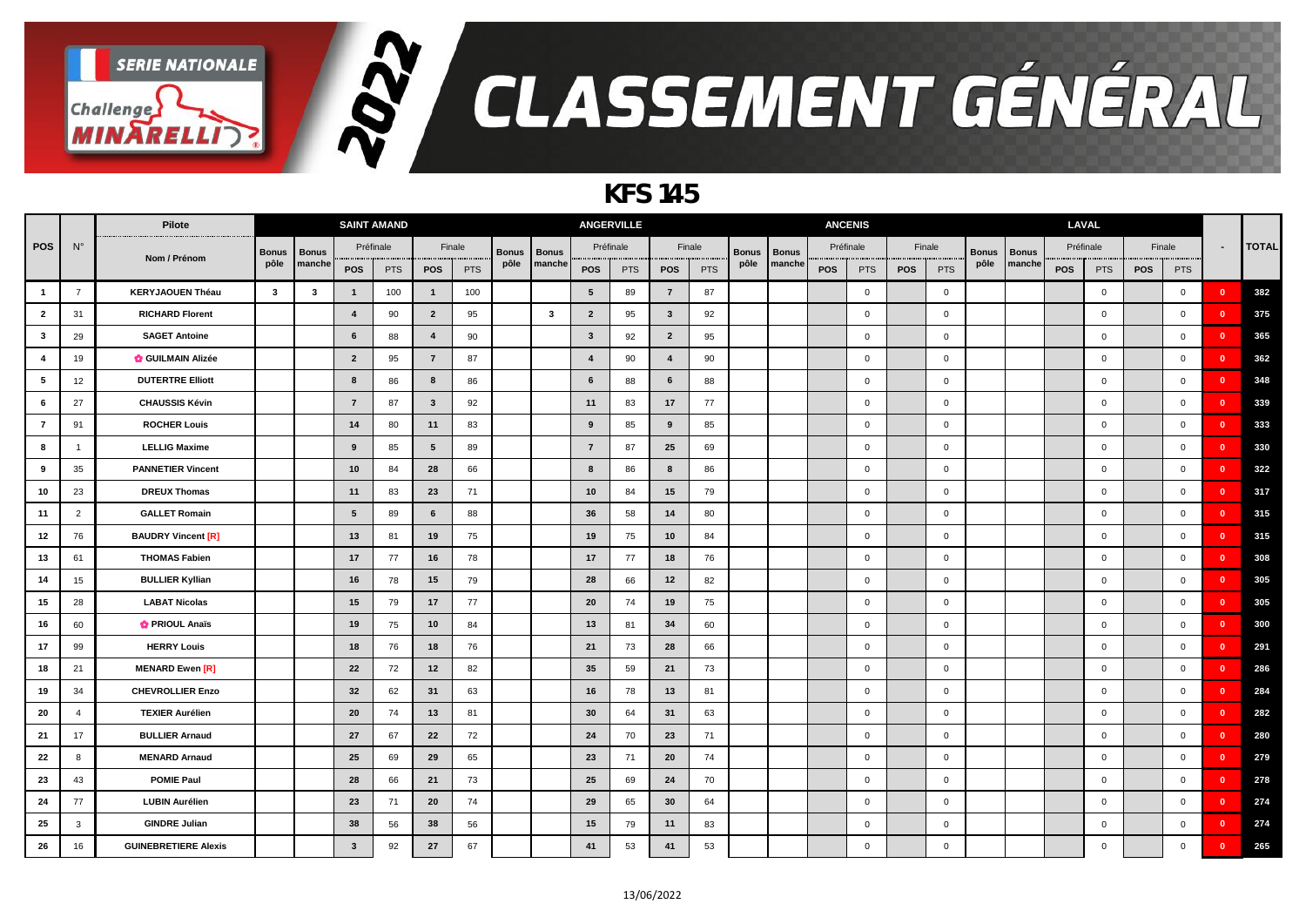

### *KFS 145*

|                 |                | Pilote                      |              |              | <b>SAINT AMAND</b> |            |                 |        |              |              |                         | <b>ANGERVILLE</b> |                 |            |              |              | <b>ANCENIS</b> |                |            |                         |              |              | LAVAL |                |            |                |                          |              |
|-----------------|----------------|-----------------------------|--------------|--------------|--------------------|------------|-----------------|--------|--------------|--------------|-------------------------|-------------------|-----------------|------------|--------------|--------------|----------------|----------------|------------|-------------------------|--------------|--------------|-------|----------------|------------|----------------|--------------------------|--------------|
| <b>POS</b>      | $N^{\circ}$    |                             | <b>Bonus</b> | <b>Bonus</b> |                    | Préfinale  |                 | Finale | <b>Bonus</b> | <b>Bonus</b> |                         | Préfinale         |                 | Finale     | <b>Bonus</b> | <b>Bonus</b> |                | Préfinale      |            | Finale                  | <b>Bonus</b> | <b>Bonus</b> |       | Préfinale      |            | Finale         | $\overline{\phantom{a}}$ | <b>TOTAL</b> |
|                 |                | Nom / Prénom                | pôle         | manche       | POS                | <b>PTS</b> | <b>POS</b>      | PTS    | pôle         | manche       | <b>POS</b>              | <b>PTS</b>        | POS             | <b>PTS</b> | pôle         | manche       | <b>POS</b>     | <b>PTS</b>     | <b>POS</b> | <b>PTS</b>              | pôle         | manche       | POS   | <b>PTS</b>     | <b>POS</b> | <b>PTS</b>     |                          |              |
| $\overline{1}$  | $\overline{7}$ | <b>KERYJAOUEN Théau</b>     | $\mathbf{3}$ | $\mathbf{3}$ | - 1                | 100        | $\mathbf{1}$    | 100    |              |              | 5                       | 89                | $\overline{7}$  | 87         |              |              |                | $\overline{0}$ |            | $\overline{0}$          |              |              |       | $\overline{0}$ |            | $\mathbf 0$    | $\mathbf{0}$             | 382          |
| $\overline{2}$  | 31             | <b>RICHARD Florent</b>      |              |              | $\mathbf{A}$       | 90         | $\overline{2}$  | 95     |              | $\mathbf{3}$ | $\overline{2}$          | 95                | $\mathbf{3}$    | 92         |              |              |                | $\mathbf 0$    |            | $\overline{0}$          |              |              |       | $\overline{0}$ |            | $\mathbf 0$    | - 0                      | 375          |
| $\mathbf{3}$    | 29             | <b>SAGET Antoine</b>        |              |              | 6                  | 88         | $\overline{4}$  | 90     |              |              | $\overline{\mathbf{3}}$ | 92                | $\overline{2}$  | 95         |              |              |                | $\mathbf 0$    |            | $\mathbf 0$             |              |              |       | $\overline{0}$ |            | $\mathbf{0}$   | $\overline{\mathbf{0}}$  | 365          |
| $\overline{4}$  | 19             | <b>GUILMAIN Alizée</b>      |              |              | $\overline{2}$     | 95         | $\overline{7}$  | 87     |              |              | $\boldsymbol{\Delta}$   | 90                | $\overline{4}$  | 90         |              |              |                | $\mathbf 0$    |            | $\mathbf 0$             |              |              |       | $\overline{0}$ |            | $\mathbf 0$    | $\overline{\mathbf{0}}$  | 362          |
| $5\phantom{.0}$ | 12             | <b>DUTERTRE Elliott</b>     |              |              | 8                  | 86         | 8               | 86     |              |              | 6                       | 88                | $6\phantom{1}6$ | 88         |              |              |                | $\mathbf 0$    |            | $\overline{0}$          |              |              |       | $\overline{0}$ |            | $\mathbf 0$    | - 0                      | 348          |
| 6               | 27             | <b>CHAUSSIS Kévin</b>       |              |              | $\overline{7}$     | 87         | $\mathbf{3}$    | 92     |              |              | 11                      | 83                | 17              | 77         |              |              |                | $\mathbf 0$    |            | $\overline{0}$          |              |              |       | $\overline{0}$ |            | $\mathbf 0$    | - 0                      | 339          |
| $\overline{7}$  | 91             | <b>ROCHER Louis</b>         |              |              | 14                 | 80         | 11              | 83     |              |              | 9                       | 85                | 9               | 85         |              |              |                | $\mathbf 0$    |            | $\overline{0}$          |              |              |       | $\overline{0}$ |            | $\overline{0}$ | - 0                      | 333          |
| 8               |                | <b>LELLIG Maxime</b>        |              |              | 9                  | 85         | $5\overline{5}$ | 89     |              |              | $\overline{7}$          | 87                | 25              | 69         |              |              |                | $\mathbf 0$    |            | $\overline{0}$          |              |              |       | $\overline{0}$ |            | $\overline{0}$ | $\mathbf{0}$             | 330          |
| 9               | 35             | <b>PANNETIER Vincent</b>    |              |              | 10                 | 84         | 28              | 66     |              |              | 8                       | 86                | 8               | 86         |              |              |                | $\mathbf 0$    |            | $\overline{0}$          |              |              |       | $\overline{0}$ |            | $\mathbf 0$    | - 0                      | 322          |
| 10              | 23             | <b>DREUX Thomas</b>         |              |              | 11                 | 83         | 23              | 71     |              |              | 10                      | 84                | 15              | 79         |              |              |                | $\mathbf 0$    |            | $\overline{\mathbf{0}}$ |              |              |       | $\overline{0}$ |            | $\overline{0}$ | $\overline{\mathbf{0}}$  | 317          |
| 11              | 2              | <b>GALLET Romain</b>        |              |              | 5                  | 89         | 6               | 88     |              |              | 36                      | 58                | 14              | 80         |              |              |                | $\mathsf 0$    |            | $\pmb{0}$               |              |              |       | $\overline{0}$ |            | $\mathbf 0$    | $\overline{\mathbf{0}}$  | 315          |
| 12              | 76             | <b>BAUDRY Vincent [R]</b>   |              |              | 13                 | 81         | 19              | 75     |              |              | 19                      | 75                | 10              | 84         |              |              |                | $\mathsf 0$    |            | $\,0\,$                 |              |              |       | $\overline{0}$ |            | $\overline{0}$ | $\overline{\mathbf{0}}$  | 315          |
| 13              | 61             | <b>THOMAS Fabien</b>        |              |              | 17                 | 77         | 16              | 78     |              |              | 17                      | 77                | 18              | 76         |              |              |                | $\mathsf 0$    |            | $\overline{0}$          |              |              |       | $\overline{0}$ |            | $\mathbf 0$    | $\overline{\mathbf{0}}$  | 308          |
| 14              | 15             | <b>BULLIER Kyllian</b>      |              |              | 16                 | 78         | 15              | 79     |              |              | 28                      | 66                | 12              | 82         |              |              |                | $\mathbf 0$    |            | $\overline{\mathbf{0}}$ |              |              |       | $\overline{0}$ |            | $\overline{0}$ | $\mathbf{0}$             | 305          |
| 15              | 28             | <b>LABAT Nicolas</b>        |              |              | 15                 | 79         | 17              | 77     |              |              | 20                      | 74                | 19              | 75         |              |              |                | $\mathbf 0$    |            | $\mathbf 0$             |              |              |       | $\overline{0}$ |            | $\mathbf 0$    | $\mathbf{0}$             | 305          |
| 16              | 60             | <b>O</b> PRIOUL Anaïs       |              |              | 19                 | 75         | 10              | 84     |              |              | 13                      | 81                | 34              | 60         |              |              |                | $\mathbf 0$    |            | $\overline{0}$          |              |              |       | $\overline{0}$ |            | $\mathbf 0$    | $\mathbf{0}$             | 300          |
| 17              | 99             | <b>HERRY Louis</b>          |              |              | 18                 | 76         | 18              | 76     |              |              | 21                      | 73                | 28              | 66         |              |              |                | $\mathbf 0$    |            | $\overline{0}$          |              |              |       | $\overline{0}$ |            | $\mathbf 0$    | - 0                      | 291          |
| 18              | 21             | <b>MENARD Ewen [R]</b>      |              |              | 22                 | 72         | 12              | 82     |              |              | 35                      | 59                | 21              | 73         |              |              |                | $\mathbf 0$    |            | $\overline{0}$          |              |              |       | $\overline{0}$ |            | $\mathbf 0$    | - 0                      | 286          |
| 19              | 34             | <b>CHEVROLLIER Enzo</b>     |              |              | 32                 | 62         | 31              | 63     |              |              | 16                      | 78                | 13              | 81         |              |              |                | $\mathbf 0$    |            | $\mathbf 0$             |              |              |       | $\overline{0}$ |            | $\mathbf 0$    | $\overline{\mathbf{0}}$  | 284          |
| 20              |                | <b>TEXIER Aurélien</b>      |              |              | 20                 | 74         | 13              | 81     |              |              | 30                      | 64                | 31              | 63         |              |              |                | $\mathbf 0$    |            | $\overline{0}$          |              |              |       | $\overline{0}$ |            | $\mathbf 0$    | $\mathbf{0}$             | 282          |
| 21              | 17             | <b>BULLIER Arnaud</b>       |              |              | 27                 | 67         | 22              | 72     |              |              | 24                      | 70                | 23              | 71         |              |              |                | $\mathbf 0$    |            | $\overline{0}$          |              |              |       | $\overline{0}$ |            | $\mathbf 0$    | $\mathbf{0}$             | 280          |
| 22              | 8              | <b>MENARD Arnaud</b>        |              |              | 25                 | 69         | 29              | 65     |              |              | 23                      | 71                | 20              | 74         |              |              |                | $\mathbf 0$    |            | $\overline{\mathbf{0}}$ |              |              |       | $\overline{0}$ |            | $\mathbf 0$    | $\mathbf{0}$             | 279          |
| 23              | 43             | <b>POMIE Paul</b>           |              |              | 28                 | 66         | 21              | 73     |              |              | 25                      | 69                | 24              | 70         |              |              |                | $\mathbf 0$    |            | $\overline{0}$          |              |              |       | $\overline{0}$ |            | $\overline{0}$ | $\mathbf{0}$             | 278          |
| 24              | 77             | <b>LUBIN Aurélien</b>       |              |              | 23                 | 71         | 20              | 74     |              |              | 29                      | 65                | 30              | 64         |              |              |                | $\mathbf{0}$   |            | $\overline{0}$          |              |              |       | $\overline{0}$ |            | $\overline{0}$ | $\mathbf{0}$             | 274          |
| 25              | 3              | <b>GINDRE Julian</b>        |              |              | 38                 | 56         | 38              | 56     |              |              | 15                      | 79                | 11              | 83         |              |              |                | $\mathbf 0$    |            | $\mathbf 0$             |              |              |       | $\mathbf 0$    |            | $\mathbf 0$    | - 0                      | 274          |
| 26              | 16             | <b>GUINEBRETIERE Alexis</b> |              |              | $\mathbf{3}$       | 92         | 27              | 67     |              |              | 41                      | 53                | 41              | 53         |              |              |                | $\mathbf 0$    |            | $\mathbf 0$             |              |              |       | $\mathbf 0$    |            | $\mathbf 0$    | $\mathbf{0}$             | 265          |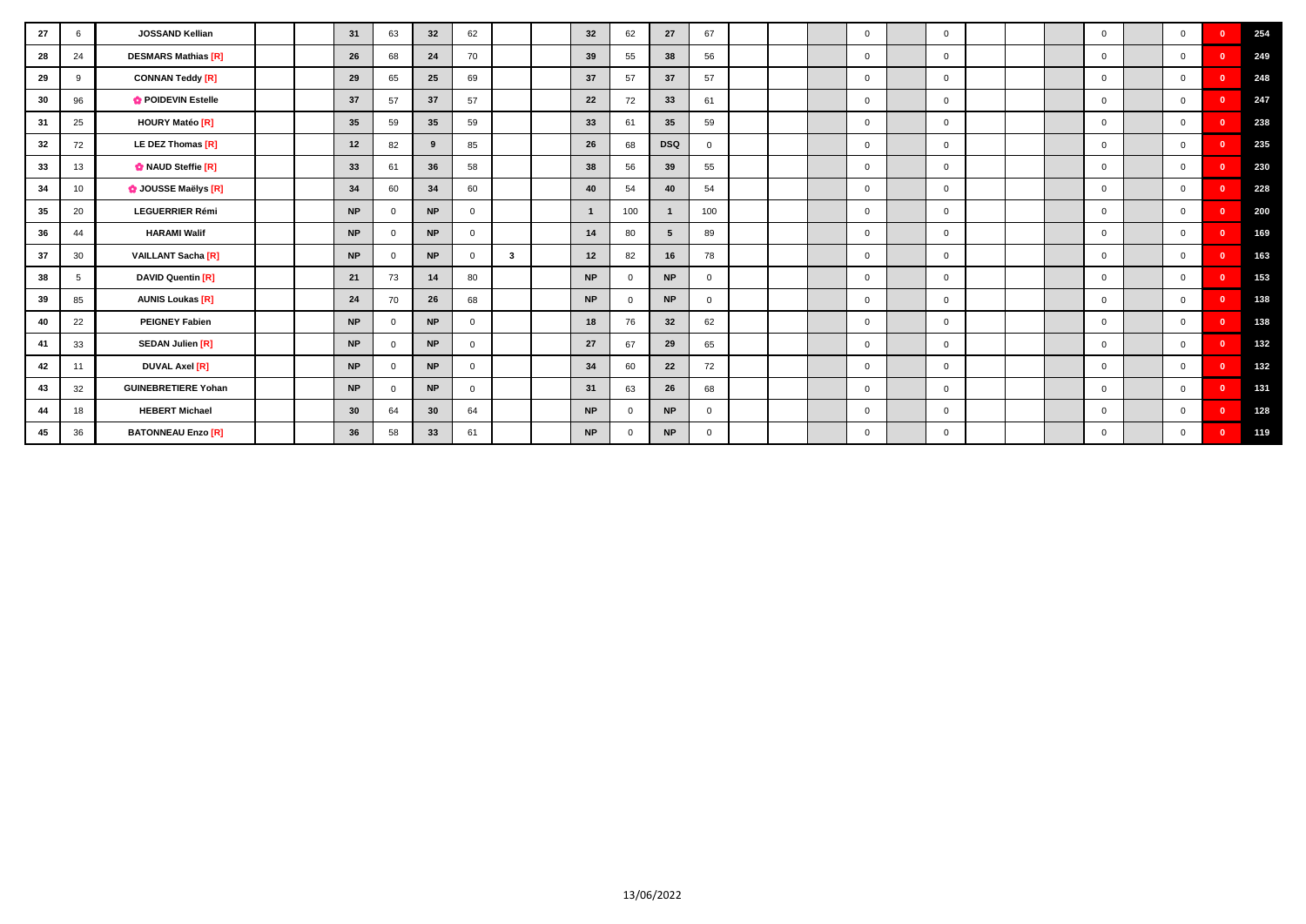| 27 | 6  | JOSSAND Kellian            |  | 31        | 63         | 32              | 62           |   | 32           | 62           | 27         | 67             |  | $\mathbf{0}$ | $\mathbf{0}$   |  | $\overline{0}$ | $\Omega$       | $\mathbf{0}$ | 254 |
|----|----|----------------------------|--|-----------|------------|-----------------|--------------|---|--------------|--------------|------------|----------------|--|--------------|----------------|--|----------------|----------------|--------------|-----|
| 28 | 24 | <b>DESMARS Mathias [R]</b> |  | 26        | 68         | 24              | 70           |   | 39           | 55           | 38         | 56             |  | $\mathbf 0$  | $\mathbf{0}$   |  | $\Omega$       | $\mathbf{0}$   | $\Omega$     | 249 |
| 29 | 9  | <b>CONNAN Teddy [R]</b>    |  | 29        | 65         | 25              | 69           |   | 37           | 57           | 37         | 57             |  | $\mathbf 0$  | $\overline{0}$ |  | $\overline{0}$ | $\mathbf{0}$   | $\Omega$     | 248 |
| 30 | 96 | POIDEVIN Estelle           |  | 37        | 57         | 37              | 57           |   | 22           | 72           | 33         | 61             |  | $\mathbf 0$  | $\Omega$       |  | $\overline{0}$ | $\overline{0}$ | $\Omega$     | 247 |
| 31 | 25 | <b>HOURY Matéo [R]</b>     |  | 35        | 59         | 35              | 59           |   | 33           | 61           | 35         | 59             |  | $\mathbf{0}$ | $\mathbf{0}$   |  | $\overline{0}$ | $\overline{0}$ | $\Omega$     | 238 |
| 32 | 72 | LE DEZ Thomas [R]          |  | 12        | 82         | 9               | 85           |   | 26           | 68           | <b>DSQ</b> | $\overline{0}$ |  | $\mathbf 0$  | $\mathbf{0}$   |  | $\overline{0}$ | $\overline{0}$ | $\mathbf{0}$ | 235 |
| 33 | 13 | MAUD Steffie [R]           |  | 33        | 61         | 36              | 58           |   | 38           | 56           | 39         | 55             |  | $\mathbf 0$  | $\overline{0}$ |  | $\overline{0}$ | $\overline{0}$ | $\Omega$     | 230 |
| 34 | 10 | <b>O</b> JOUSSE Maëlys [R] |  | 34        | 60         | 34              | 60           |   | 40           | 54           | 40         | 54             |  | $\mathbf{0}$ | $\overline{0}$ |  | $\overline{0}$ | $\overline{0}$ | $\Omega$     | 228 |
| 35 | 20 | <b>LEGUERRIER Rémi</b>     |  | <b>NP</b> | $\Omega$   | <b>NP</b>       | $\Omega$     |   | $\mathbf{1}$ | 100          |            | 100            |  | $\mathbf{0}$ | $\Omega$       |  | $\Omega$       | $\Omega$       | $\mathbf{0}$ | 200 |
| 36 | 44 | <b>HARAMI Walif</b>        |  | <b>NP</b> | $\Omega$   | <b>NP</b>       | $\Omega$     |   | 14           | 80           | 5          | 89             |  | $\mathbf{0}$ | $\Omega$       |  | $\Omega$       | $\Omega$       | $\Omega$     | 169 |
| 37 | 30 | <b>VAILLANT Sacha [R]</b>  |  | <b>NP</b> | $\Omega$   | <b>NP</b>       | $\Omega$     | 3 | 12           | 82           | 16         | 78             |  | $\mathbf 0$  | $\Omega$       |  | $\Omega$       | $\Omega$       | $\Omega$     | 163 |
| 38 | 5  | <b>DAVID Quentin [R]</b>   |  | 21        | 73         | 14              | 80           |   | <b>NP</b>    | $\mathbf 0$  | <b>NP</b>  | $\Omega$       |  | $\mathbf 0$  | $\mathbf{0}$   |  | $\overline{0}$ | $\overline{0}$ | $\sqrt{2}$   | 153 |
| 39 | 85 | <b>AUNIS Loukas [R]</b>    |  | 24        | 70         | 26              | 68           |   | <b>NP</b>    | $\mathbf 0$  | <b>NP</b>  | $\Omega$       |  | $\mathbf 0$  | $\mathbf{0}$   |  | $\overline{0}$ | $\overline{0}$ | $\Omega$     | 138 |
| 40 | 22 | <b>PEIGNEY Fabien</b>      |  | <b>NP</b> | $^{\circ}$ | <b>NP</b>       | $\mathbf{0}$ |   | 18           | 76           | 32         | 62             |  | $\mathbf{0}$ | $\mathbf{0}$   |  | $\overline{0}$ | $\overline{0}$ | $\Omega$     | 138 |
| 41 | 33 | <b>SEDAN Julien [R]</b>    |  | <b>NP</b> | $\Omega$   | <b>NP</b>       | $\Omega$     |   | 27           | 67           | 29         | 65             |  | $\mathbf 0$  | $\mathbf{0}$   |  | $\Omega$       | $\overline{0}$ | $\Omega$     | 132 |
| 42 | 11 | <b>DUVAL Axel [R]</b>      |  | <b>NP</b> | $\Omega$   | <b>NP</b>       | $\Omega$     |   | 34           | 60           | 22         | 72             |  | $\mathbf 0$  | $\mathbf{0}$   |  | $\overline{0}$ | $\overline{0}$ | $\Omega$     | 132 |
| 43 | 32 | <b>GUINEBRETIERE Yohan</b> |  | <b>NP</b> | $\Omega$   | <b>NP</b>       | $\mathbf{0}$ |   | 31           | 63           | 26         | 68             |  | $\mathbf 0$  | $\mathbf{0}$   |  | $\overline{0}$ | $\Omega$       | $\mathbf{0}$ | 131 |
| 44 | 18 | <b>HEBERT Michael</b>      |  | 30        | 64         | 30 <sub>o</sub> | 64           |   | <b>NP</b>    | $\mathbf{0}$ | <b>NP</b>  | $\Omega$       |  | $\mathbf 0$  | $\mathbf{0}$   |  | $\Omega$       | $\Omega$       | $\Omega$     | 128 |
| 45 | 36 | <b>BATONNEAU Enzo [R]</b>  |  | 36        | 58         | 33              | 61           |   | <b>NP</b>    | $\mathbf{0}$ | <b>NP</b>  | $\Omega$       |  | $\mathbf{0}$ | $^{\circ}$     |  | $\Omega$       | $\Omega$       | $\Omega$     | 119 |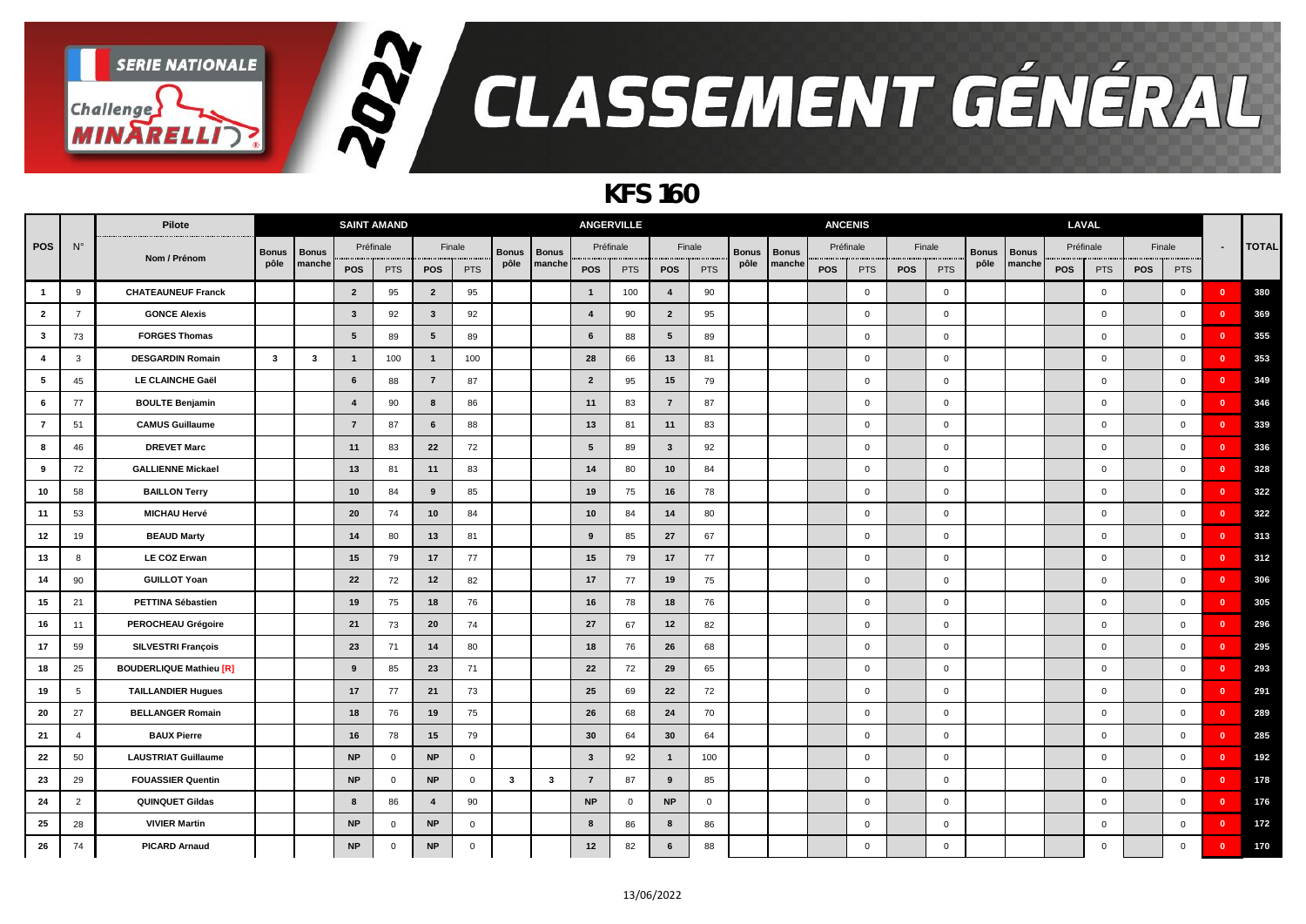

### *KFS 160*

|                         |                | Pilote                         |              |                         |                         | <b>SAINT AMAND</b> |                 |                |              |              |                         | <b>ANGERVILLE</b> |                         |              |              |              | <b>ANCENIS</b> |                     |     |                |              |              | LAVAL      |             |     |                |                         |              |
|-------------------------|----------------|--------------------------------|--------------|-------------------------|-------------------------|--------------------|-----------------|----------------|--------------|--------------|-------------------------|-------------------|-------------------------|--------------|--------------|--------------|----------------|---------------------|-----|----------------|--------------|--------------|------------|-------------|-----|----------------|-------------------------|--------------|
| <b>POS</b>              | $N^{\circ}$    |                                | <b>Bonus</b> | <b>Bonus</b>            |                         | Préfinale          |                 | Finale         | <b>Bonus</b> | <b>Bonus</b> |                         | Préfinale         |                         | Finale       | <b>Bonus</b> | <b>Bonus</b> | Préfinale      |                     |     | Finale         | <b>Bonus</b> | <b>Bonus</b> |            | Préfinale   |     | Finale         | $\blacksquare$          | <b>TOTAL</b> |
|                         |                | Nom / Prénom                   | pôle         | manche                  | POS                     | <b>PTS</b>         | <b>POS</b>      | PTS            | pôle         | manche       | <b>POS</b>              | <b>PTS</b>        | <b>POS</b>              | <b>PTS</b>   | pôle         | manche       | <b>POS</b>     | <b>PTS</b>          | POS | <b>PTS</b>     | pôle         | manche       | <b>POS</b> | <b>PTS</b>  | POS | <b>PTS</b>     |                         |              |
| $\overline{\mathbf{1}}$ | 9              | <b>CHATEAUNEUF Franck</b>      |              |                         | $\overline{2}$          | 95                 | $\overline{2}$  | 95             |              |              | $\mathbf{1}$            | 100               | $\overline{4}$          | 90           |              |              |                | $\overline{0}$      |     | $\overline{0}$ |              |              |            | $\mathbf 0$ |     | $\overline{0}$ | $\mathbf{0}$            | 380          |
| $\overline{2}$          | 7              | <b>GONCE Alexis</b>            |              |                         | $\mathbf{3}$            | 92                 | $\mathbf{3}$    | 92             |              |              | $\overline{4}$          | 90                | $\overline{2}$          | 95           |              |              |                | $\mathbf{0}$        |     | $\overline{0}$ |              |              |            | $\mathbf 0$ |     | $\overline{0}$ | $\mathbf{0}$            | 369          |
| $\overline{\mathbf{3}}$ | 73             | <b>FORGES Thomas</b>           |              |                         | $5\phantom{.0}$         | 89                 | $5\phantom{.0}$ | 89             |              |              | 6                       | 88                | $5\phantom{1}$          | 89           |              |              |                | $\overline{0}$      |     | $\overline{0}$ |              |              |            | $\mathbf 0$ |     | $\overline{0}$ | $\mathbf{0}$            | 355          |
| $\overline{4}$          | 3              | <b>DESGARDIN Romain</b>        | $\mathbf{3}$ | $\overline{\mathbf{3}}$ | $\overline{\mathbf{1}}$ | 100                | $\mathbf{1}$    | 100            |              |              | 28                      | 66                | 13                      | 81           |              |              |                | $\mathsf 0$         |     | $\overline{0}$ |              |              |            | $\mathbf 0$ |     | $\mathbf 0$    | - 0                     | 353          |
| 5                       | 45             | LE CLAINCHE Gaël               |              |                         | 6                       | 88                 | $\overline{7}$  | 87             |              |              | $\overline{2}$          | 95                | 15                      | 79           |              |              |                | $\overline{0}$      |     | $\overline{0}$ |              |              |            | $\mathbf 0$ |     | $\overline{0}$ | - 0                     | 349          |
| $\,$ 6                  | 77             | <b>BOULTE Benjamin</b>         |              |                         | $\overline{4}$          | 90                 | 8               | 86             |              |              | 11                      | 83                | $\overline{7}$          | 87           |              |              |                | $\overline{0}$      |     | $\mathsf 0$    |              |              |            | $\mathbf 0$ |     | $\mathbf 0$    | $\overline{\mathbf{0}}$ | 346          |
| $\overline{7}$          | 51             | <b>CAMUS Guillaume</b>         |              |                         | $\overline{7}$          | 87                 | 6               | 88             |              |              | 13                      | 81                | 11                      | 83           |              |              |                | $\mathbf{0}$        |     | $\mathbf 0$    |              |              |            | $\mathbf 0$ |     | $\mathbf 0$    | $\overline{\mathbf{0}}$ | 339          |
| 8                       | 46             | <b>DREVET Marc</b>             |              |                         | 11                      | 83                 | 22              | 72             |              |              | 5                       | 89                | $\mathbf{3}$            | 92           |              |              |                | $\mathbf{0}$        |     | $\overline{0}$ |              |              |            | $\mathbf 0$ |     | $\mathbf 0$    | - 0                     | 336          |
| 9                       | 72             | <b>GALLIENNE Mickael</b>       |              |                         | 13                      | 81                 | 11              | 83             |              |              | 14                      | 80                | 10                      | 84           |              |              |                | $\mathbf{0}$        |     | $\overline{0}$ |              |              |            | $\mathbf 0$ |     | $\overline{0}$ | $\mathbf{0}$            | 328          |
| 10                      | 58             | <b>BAILLON Terry</b>           |              |                         | 10                      | 84                 | 9               | 85             |              |              | 19                      | 75                | 16                      | 78           |              |              |                | $\overline{0}$      |     | $\overline{0}$ |              |              |            | $\mathbf 0$ |     | $\mathbf 0$    | $\mathbf{0}$            | 322          |
| 11                      | 53             | <b>MICHAU Hervé</b>            |              |                         | 20                      | 74                 | 10              | 84             |              |              | 10                      | 84                | 14                      | 80           |              |              |                | $\mathbf{0}$        |     | $\overline{0}$ |              |              |            | $\mathbf 0$ |     | $\mathbf 0$    | - 0                     | 322          |
| 12                      | 19             | <b>BEAUD Marty</b>             |              |                         | 14                      | 80                 | 13              | 81             |              |              | 9                       | 85                | 27                      | 67           |              |              |                | $\overline{0}$      |     | $\overline{0}$ |              |              |            | $\mathbf 0$ |     | $\mathbf 0$    | $\overline{\mathbf{0}}$ | 313          |
| 13                      | 8              | <b>LE COZ Erwan</b>            |              |                         | 15                      | 79                 | 17              | 77             |              |              | 15                      | 79                | 17                      | 77           |              |              |                | $\overline{0}$      |     | $\mathsf 0$    |              |              |            | $\mathbf 0$ |     | $\mathbf 0$    | $\mathbf{0}$            | 312          |
| 14                      | 90             | <b>GUILLOT Yoan</b>            |              |                         | 22                      | 72                 | 12              | 82             |              |              | 17                      | 77                | 19                      | 75           |              |              |                | $\mathbf 0$         |     | $\overline{0}$ |              |              |            | $\mathbf 0$ |     | $\mathbf 0$    | $\overline{\mathbf{0}}$ | 306          |
| 15                      | 21             | PETTINA Sébastien              |              |                         | 19                      | 75                 | 18              | 76             |              |              | 16                      | 78                | 18                      | 76           |              |              |                | $\mathbf{0}$        |     | $\overline{0}$ |              |              |            | $\mathbf 0$ |     | $\mathbf 0$    | - 0                     | 305          |
| 16                      | 11             | PEROCHEAU Grégoire             |              |                         | 21                      | 73                 | 20              | 74             |              |              | 27                      | 67                | 12                      | 82           |              |              |                | $\mathbf{0}$        |     | $\overline{0}$ |              |              |            | $\mathbf 0$ |     | $\mathbf 0$    | - 0                     | 296          |
| 17                      | 59             | SILVESTRI François             |              |                         | 23                      | 71                 | 14              | 80             |              |              | 18                      | 76                | 26                      | 68           |              |              |                | $\overline{0}$      |     | $\overline{0}$ |              |              |            | $\mathbf 0$ |     | $\mathbf 0$    | $\mathbf{0}$            | 295          |
| 18                      | 25             | <b>BOUDERLIQUE Mathieu [R]</b> |              |                         | 9                       | 85                 | 23              | 71             |              |              | 22                      | 72                | 29                      | 65           |              |              |                | $\mathbf{0}$        |     | $\overline{0}$ |              |              |            | $\mathbf 0$ |     | $\mathbf 0$    | - 0                     | 293          |
| 19                      | 5              | <b>TAILLANDIER Hugues</b>      |              |                         | 17                      | 77                 | 21              | 73             |              |              | 25                      | 69                | 22                      | 72           |              |              |                | $\overline{0}$      |     | $\overline{0}$ |              |              |            | $\mathbf 0$ |     | $\mathbf 0$    | - 0                     | 291          |
| 20                      | 27             | <b>BELLANGER Romain</b>        |              |                         | 18                      | 76                 | 19              | 75             |              |              | 26                      | 68                | 24                      | 70           |              |              |                | $\overline{0}$      |     | $\mathsf 0$    |              |              |            | $\mathbf 0$ |     | $\mathbf 0$    | $\mathbf{0}$            | 289          |
| 21                      | $\overline{a}$ | <b>BAUX Pierre</b>             |              |                         | 16                      | 78                 | 15              | 79             |              |              | 30                      | 64                | 30                      | 64           |              |              |                | $\mathsf{O}\xspace$ |     | $\overline{0}$ |              |              |            | $\mathbf 0$ |     | $\mathbf 0$    | $\overline{\mathbf{0}}$ | 285          |
| 22                      | 50             | <b>LAUSTRIAT Guillaume</b>     |              |                         | <b>NP</b>               | $\mathbf 0$        | <b>NP</b>       | 0              |              |              | $\overline{\mathbf{3}}$ | 92                | $\overline{\mathbf{1}}$ | 100          |              |              |                | $\mathbf 0$         |     | $\overline{0}$ |              |              |            | $\mathbf 0$ |     | $\mathbf 0$    | $\mathbf{0}$            | 192          |
| 23                      | 29             | <b>FOUASSIER Quentin</b>       |              |                         | <b>NP</b>               | $\mathbf 0$        | <b>NP</b>       | $\overline{0}$ | 3            | $\mathbf{3}$ | $\overline{7}$          | 87                | 9                       | 85           |              |              |                | $\mathbf{0}$        |     | $\overline{0}$ |              |              |            | $\mathbf 0$ |     | $\mathbf 0$    | $\mathbf{0}$            | 178          |
| 24                      | 2              | <b>QUINQUET Gildas</b>         |              |                         | 8                       | 86                 | $\overline{4}$  | 90             |              |              | <b>NP</b>               | $\mathbf 0$       | <b>NP</b>               | $\mathbf{0}$ |              |              |                | $\overline{0}$      |     | $\overline{0}$ |              |              |            | $\mathbf 0$ |     | $\mathbf 0$    | $\mathbf{0}$            | 176          |
| 25                      | 28             | <b>VIVIER Martin</b>           |              |                         | <b>NP</b>               | $\mathbf 0$        | <b>NP</b>       | $\mathbf 0$    |              |              | 8                       | 86                | 8                       | 86           |              |              |                | $\mathbf 0$         |     | $\overline{0}$ |              |              |            | $\mathbf 0$ |     | $\mathbf 0$    | - 0                     | 172          |
| 26                      | 74             | <b>PICARD Arnaud</b>           |              |                         | <b>NP</b>               | $\mathbf 0$        | <b>NP</b>       | $\mathbf 0$    |              |              | 12                      | 82                | 6                       | 88           |              |              |                | $\mathbf{0}$        |     | $\overline{0}$ |              |              |            | $\mathbf 0$ |     | $\mathbf 0$    | $\mathbf{0}$            | 170          |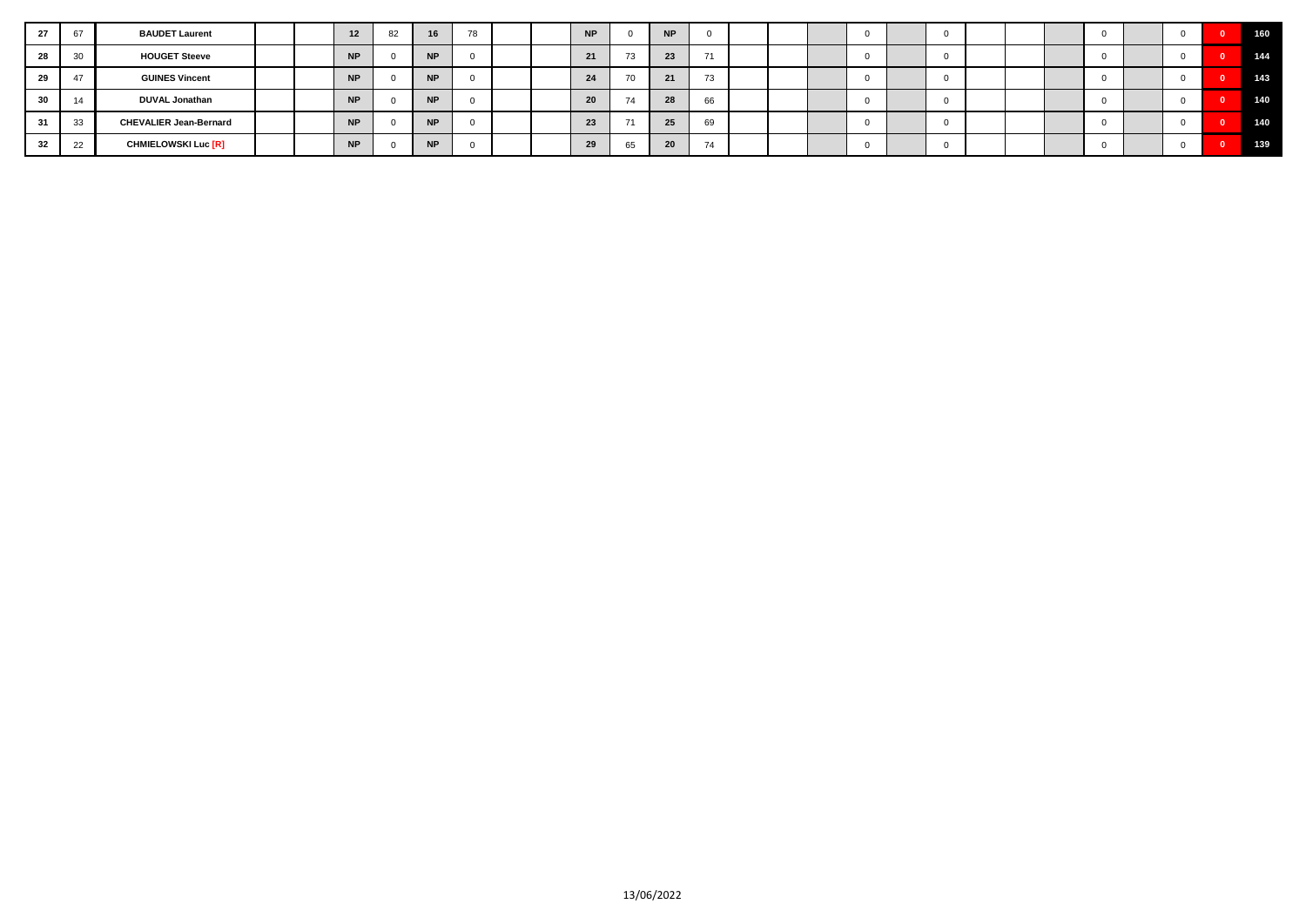| 27 |               | <b>BAUDET Laurent</b>         |  | 12        | 82 | 16        | 78 |  | <b>NP</b> |    | <b>NP</b> |             |  |  |  |  |  |  | 160 |
|----|---------------|-------------------------------|--|-----------|----|-----------|----|--|-----------|----|-----------|-------------|--|--|--|--|--|--|-----|
| 28 | 30            | <b>HOUGET Steeve</b>          |  | <b>NP</b> |    | <b>NP</b> |    |  | 21        | 73 | 23        |             |  |  |  |  |  |  | 144 |
|    | $\rightarrow$ | <b>GUINES Vincent</b>         |  | <b>NP</b> |    | <b>NP</b> |    |  | 24        | 70 | 21        | $-1$<br>1.5 |  |  |  |  |  |  | 143 |
|    |               | <b>DUVAL Jonathan</b>         |  | <b>NP</b> |    | <b>NP</b> |    |  | 20        |    | 28        | 66          |  |  |  |  |  |  | 140 |
|    | 33            | <b>CHEVALIER Jean-Bernard</b> |  | <b>NP</b> |    | <b>NP</b> |    |  | 23        |    | 25        | 69          |  |  |  |  |  |  | 140 |
| 32 |               | <b>CHMIELOWSKI Luc [R]</b>    |  | <b>NP</b> |    | <b>NP</b> |    |  | 29        | 65 | 20        |             |  |  |  |  |  |  | 139 |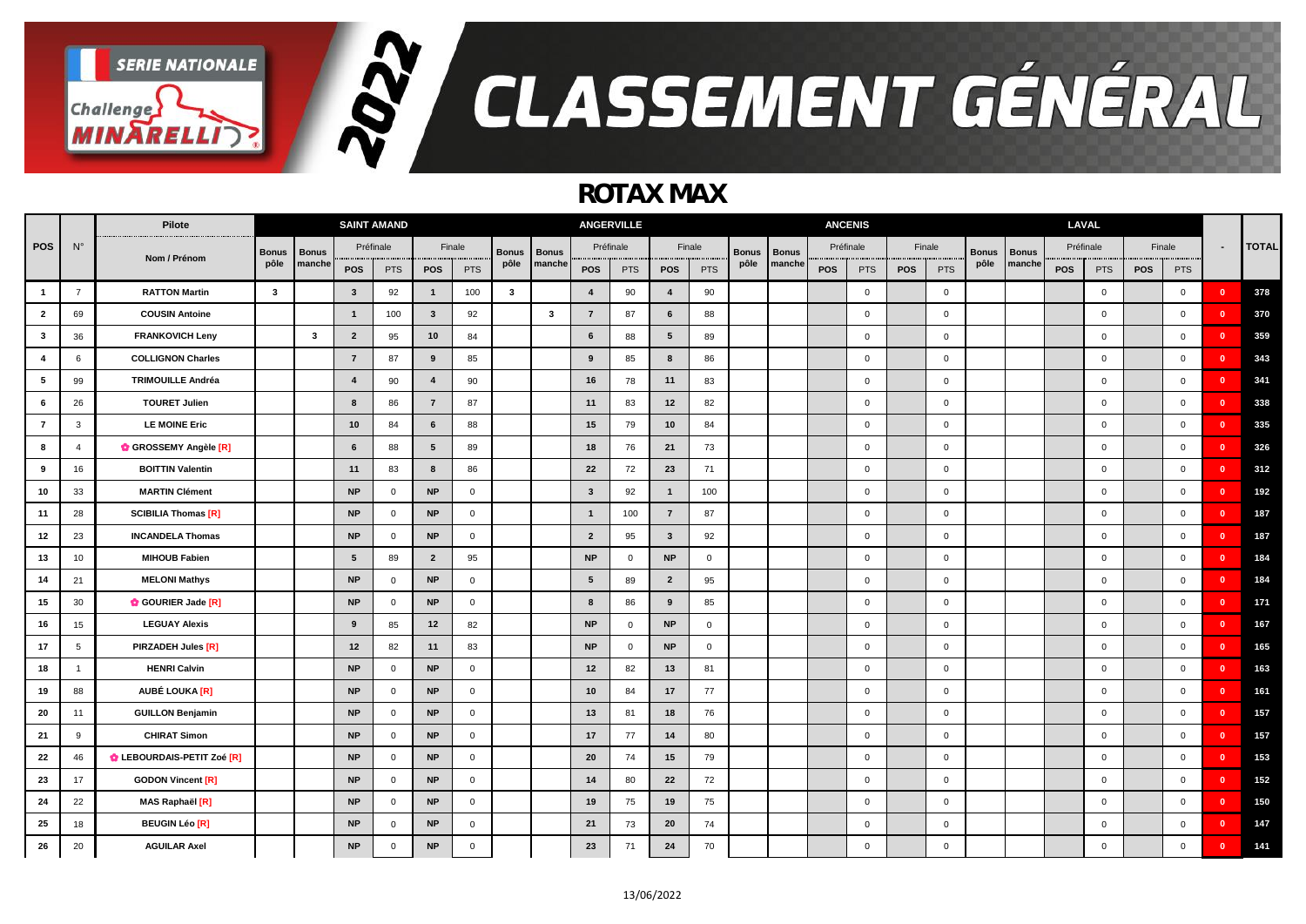

### *ROTAX MAX*

|                         |                | Pilote                     |              |              | <b>SAINT AMAND</b>      |                |                         |                |              |              |                         | <b>ANGERVILLE</b> |                |             |              |              | <b>ANCENIS</b> |                |            |              |              |              | LAVAL     |              |     |                |                         |              |
|-------------------------|----------------|----------------------------|--------------|--------------|-------------------------|----------------|-------------------------|----------------|--------------|--------------|-------------------------|-------------------|----------------|-------------|--------------|--------------|----------------|----------------|------------|--------------|--------------|--------------|-----------|--------------|-----|----------------|-------------------------|--------------|
| <b>POS</b>              | $N^{\circ}$    |                            | <b>Bonus</b> | <b>Bonus</b> |                         | Préfinale      |                         | Finale         | <b>Bonus</b> | <b>Bonus</b> |                         | Préfinale         | Finale         |             | <b>Bonus</b> | <b>Bonus</b> | Préfinale      |                |            | Finale       | <b>Bonus</b> | <b>Bonus</b> | Préfinale |              |     | Finale         | $\blacksquare$          | <b>TOTAL</b> |
|                         |                | Nom / Prénom               | pôle         | manche       | POS                     | <b>PTS</b>     | <b>POS</b>              | <b>PTS</b>     | pôle         | manche       | POS                     | <b>PTS</b>        | <b>POS</b>     | <b>PTS</b>  | pôle         | manche       | <b>POS</b>     | <b>PTS</b>     | <b>POS</b> | <b>PTS</b>   | pôle         | manche       | POS       | <b>PTS</b>   | POS | <b>PTS</b>     |                         |              |
| $\overline{\mathbf{1}}$ | $\overline{7}$ | <b>RATTON Martin</b>       | $\mathbf{3}$ |              | $\mathbf{3}$            | 92             | $\mathbf{1}$            | 100            | 3            |              | $\overline{4}$          | 90                | $\overline{4}$ | 90          |              |              |                | $\overline{0}$ |            | $\mathbf 0$  |              |              |           | $\mathbf 0$  |     | $\mathbf{0}$   | $\mathbf{0}$            | 378          |
| $\overline{2}$          | 69             | <b>COUSIN Antoine</b>      |              |              | $\overline{\mathbf{1}}$ | 100            | $\mathbf{3}$            | 92             |              | $\mathbf{3}$ | $\overline{7}$          | 87                | 6              | 88          |              |              |                | $\mathbf{0}$   |            | $\mathbf{0}$ |              |              |           | $\mathbf{0}$ |     | $\overline{0}$ | $\mathbf{0}$            | 370          |
| $\overline{\mathbf{3}}$ | 36             | <b>FRANKOVICH Leny</b>     |              | $\mathbf{3}$ | $\overline{2}$          | 95             | 10                      | 84             |              |              | 6                       | 88                | 5              | 89          |              |              |                | $\overline{0}$ |            | $\mathbf 0$  |              |              |           | $\mathbf 0$  |     | $\overline{0}$ | $\mathbf{0}$            | 359          |
| $\overline{4}$          | -6             | <b>COLLIGNON Charles</b>   |              |              | $\overline{7}$          | 87             | 9                       | 85             |              |              | 9                       | 85                | 8              | 86          |              |              |                | $\overline{0}$ |            | $\mathbf 0$  |              |              |           | $\mathsf 0$  |     | $\mathbf 0$    | $\mathbf{0}$            | 343          |
| $5\phantom{.0}$         | 99             | <b>TRIMOUILLE Andréa</b>   |              |              | $\overline{4}$          | 90             | $\overline{\mathbf{4}}$ | 90             |              |              | 16                      | 78                | 11             | 83          |              |              |                | $\mathbf 0$    |            | $\mathsf{O}$ |              |              |           | $\mathsf 0$  |     | $\overline{0}$ | $\mathbf{0}$            | 341          |
| $6\phantom{.0}$         | 26             | <b>TOURET Julien</b>       |              |              | 8                       | 86             | $\overline{7}$          | 87             |              |              | 11                      | 83                | 12             | 82          |              |              |                | $\mathbf 0$    |            | $\mathbf 0$  |              |              |           | $\mathbf 0$  |     | $\mathbf 0$    | $\mathbf{0}$            | 338          |
| $\overline{7}$          | 3              | <b>LE MOINE Eric</b>       |              |              | 10                      | 84             | 6                       | 88             |              |              | 15                      | 79                | 10             | 84          |              |              |                | $\mathbf{0}$   |            | $\mathbf 0$  |              |              |           | $\mathsf 0$  |     | $\mathbf 0$    | $\mathbf{0}$            | 335          |
| 8                       | $\overline{4}$ | GROSSEMY Angèle [R]        |              |              | 6                       | 88             | $5\overline{5}$         | 89             |              |              | 18                      | 76                | 21             | 73          |              |              |                | $\overline{0}$ |            | $\mathbf 0$  |              |              |           | $\mathsf 0$  |     | $\overline{0}$ | $\overline{\mathbf{0}}$ | 326          |
| 9                       | 16             | <b>BOITTIN Valentin</b>    |              |              | 11                      | 83             | 8                       | 86             |              |              | 22                      | 72                | 23             | 71          |              |              |                | $\mathbf 0$    |            | $\mathbf 0$  |              |              |           | $\mathbf 0$  |     | $\mathbf 0$    | $\mathbf{0}$            | 312          |
| 10                      | 33             | <b>MARTIN Clément</b>      |              |              | <b>NP</b>               | $\overline{0}$ | <b>NP</b>               | $\mathbf 0$    |              |              | $\overline{\mathbf{3}}$ | 92                | $\overline{1}$ | 100         |              |              |                | $\overline{0}$ |            | $\mathbf{0}$ |              |              |           | $\mathbf 0$  |     | $\overline{0}$ | $\mathbf{0}$            | 192          |
| 11                      | 28             | <b>SCIBILIA Thomas [R]</b> |              |              | <b>NP</b>               | $\mathbf 0$    | <b>NP</b>               | $\mathbf 0$    |              |              | $\overline{1}$          | 100               | $\overline{7}$ | 87          |              |              |                | $\mathbf 0$    |            | $\mathbf 0$  |              |              |           | $\mathsf 0$  |     | $\mathbf 0$    | $\mathbf{0}$            | 187          |
| 12                      | 23             | <b>INCANDELA Thomas</b>    |              |              | <b>NP</b>               | $\mathbf 0$    | <b>NP</b>               | $\mathsf 0$    |              |              | $\overline{2}$          | 95                | $\mathbf{3}$   | 92          |              |              |                | $\mathbf 0$    |            | $\mathbf 0$  |              |              |           | $\mathsf 0$  |     | $\mathbf 0$    | $\overline{0}$          | 187          |
| 13                      | 10             | <b>MIHOUB Fabien</b>       |              |              | 5                       | 89             | $\overline{2}$          | 95             |              |              | <b>NP</b>               | $\mathbf{0}$      | <b>NP</b>      | $\mathbf 0$ |              |              |                | $\mathbf 0$    |            | $\mathbf 0$  |              |              |           | $\mathbf 0$  |     | $\mathbf 0$    | $\mathbf{0}$            | 184          |
| 14                      | 21             | <b>MELONI Mathys</b>       |              |              | <b>NP</b>               | $\mathbf 0$    | <b>NP</b>               | $\mathbf 0$    |              |              | 5                       | 89                | $\overline{2}$ | 95          |              |              |                | $\mathbf{0}$   |            | $\mathbf 0$  |              |              |           | $\mathsf 0$  |     | $\mathbf 0$    | $\mathbf{0}$            | 184          |
| 15                      | 30             | GOURIER Jade [R]           |              |              | <b>NP</b>               | $\mathbf 0$    | <b>NP</b>               | $\mathbf 0$    |              |              | 8                       | 86                | 9              | 85          |              |              |                | $\overline{0}$ |            | $\mathbf 0$  |              |              |           | $\mathsf 0$  |     | $\overline{0}$ | $\mathbf{0}$            | 171          |
| 16                      | 15             | <b>LEGUAY Alexis</b>       |              |              | 9                       | 85             | 12                      | 82             |              |              | <b>NP</b>               | $\mathbf 0$       | <b>NP</b>      | $\mathbf 0$ |              |              |                | $\mathbf 0$    |            | $\mathbf 0$  |              |              |           | $\mathbf 0$  |     | $\mathbf 0$    | $\Omega$                | 167          |
| 17                      | 5              | PIRZADEH Jules [R]         |              |              | 12                      | 82             | 11                      | 83             |              |              | <b>NP</b>               | $\mathbf 0$       | <b>NP</b>      | $\mathbf 0$ |              |              |                | $\overline{0}$ |            | $\mathbf 0$  |              |              |           | $\mathsf 0$  |     | $\overline{0}$ | $\overline{0}$          | 165          |
| 18                      | -1             | <b>HENRI Calvin</b>        |              |              | <b>NP</b>               | $\mathbf 0$    | <b>NP</b>               | $\overline{0}$ |              |              | 12                      | 82                | 13             | 81          |              |              |                | $\overline{0}$ |            | $\mathbf 0$  |              |              |           | $\mathsf 0$  |     | $\mathbf 0$    | $\overline{\mathbf{0}}$ | 163          |
| 19                      | 88             | AUBÉ LOUKA [R]             |              |              | <b>NP</b>               | $\mathbf 0$    | <b>NP</b>               | $\mathsf 0$    |              |              | 10                      | 84                | 17             | 77          |              |              |                | $\mathbf 0$    |            | $\mathbf 0$  |              |              |           | $\mathsf 0$  |     | $\mathbf 0$    | $\mathbf{0}$            | 161          |
| 20                      | 11             | <b>GUILLON Benjamin</b>    |              |              | <b>NP</b>               | $\mathbf 0$    | <b>NP</b>               | $\mathbf 0$    |              |              | 13                      | 81                | 18             | 76          |              |              |                | $\overline{0}$ |            | $\mathbf 0$  |              |              |           | $\mathsf 0$  |     | $\overline{0}$ | $\mathbf{0}$            | 157          |
| 21                      | 9              | <b>CHIRAT Simon</b>        |              |              | <b>NP</b>               | $\mathbf 0$    | <b>NP</b>               | $\mathbf 0$    |              |              | 17                      | 77                | 14             | 80          |              |              |                | $\mathbf{0}$   |            | $\mathbf 0$  |              |              |           | $\mathsf 0$  |     | $\mathbf 0$    | $\mathbf{0}$            | 157          |
| 22                      | 46             | C LEBOURDAIS-PETIT Zoé [R] |              |              | <b>NP</b>               | $\mathbf 0$    | <b>NP</b>               | $\mathbf 0$    |              |              | 20                      | 74                | 15             | 79          |              |              |                | $\overline{0}$ |            | $\mathbf 0$  |              |              |           | $\mathsf 0$  |     | $\overline{0}$ | $\mathbf{0}$            | 153          |
| 23                      | 17             | <b>GODON Vincent [R]</b>   |              |              | <b>NP</b>               | $\mathbf 0$    | <b>NP</b>               | $\mathbf 0$    |              |              | 14                      | 80                | 22             | 72          |              |              |                | $\mathbf 0$    |            | $\mathbf 0$  |              |              |           | $\mathbf 0$  |     | $\mathbf 0$    | $\mathbf{0}$            | 152          |
| 24                      | 22             | MAS Raphaël [R]            |              |              | <b>NP</b>               | $\mathbf 0$    | <b>NP</b>               | $\mathbf 0$    |              |              | 19                      | 75                | 19             | 75          |              |              |                | $\mathbf 0$    |            | $\mathbf 0$  |              |              |           | $\mathsf 0$  |     | $\overline{0}$ | $\mathbf{0}$            | 150          |
| 25                      | 18             | <b>BEUGIN Léo [R]</b>      |              |              | <b>NP</b>               | $\mathbf 0$    | <b>NP</b>               | $\mathbf 0$    |              |              | 21                      | 73                | 20             | 74          |              |              |                | $\overline{0}$ |            | $\mathbf 0$  |              |              |           | $\pmb{0}$    |     | $\mathbf 0$    | $\mathbf{0}$            | 147          |
| 26                      | 20             | <b>AGUILAR Axel</b>        |              |              | <b>NP</b>               | $\mathbf 0$    | <b>NP</b>               | $\mathbf 0$    |              |              | 23                      | 71                | 24             | 70          |              |              |                | $\mathbf 0$    |            | $\mathbf 0$  |              |              |           | $\mathbf 0$  |     | $\Omega$       | $\mathbf{0}$            | 141          |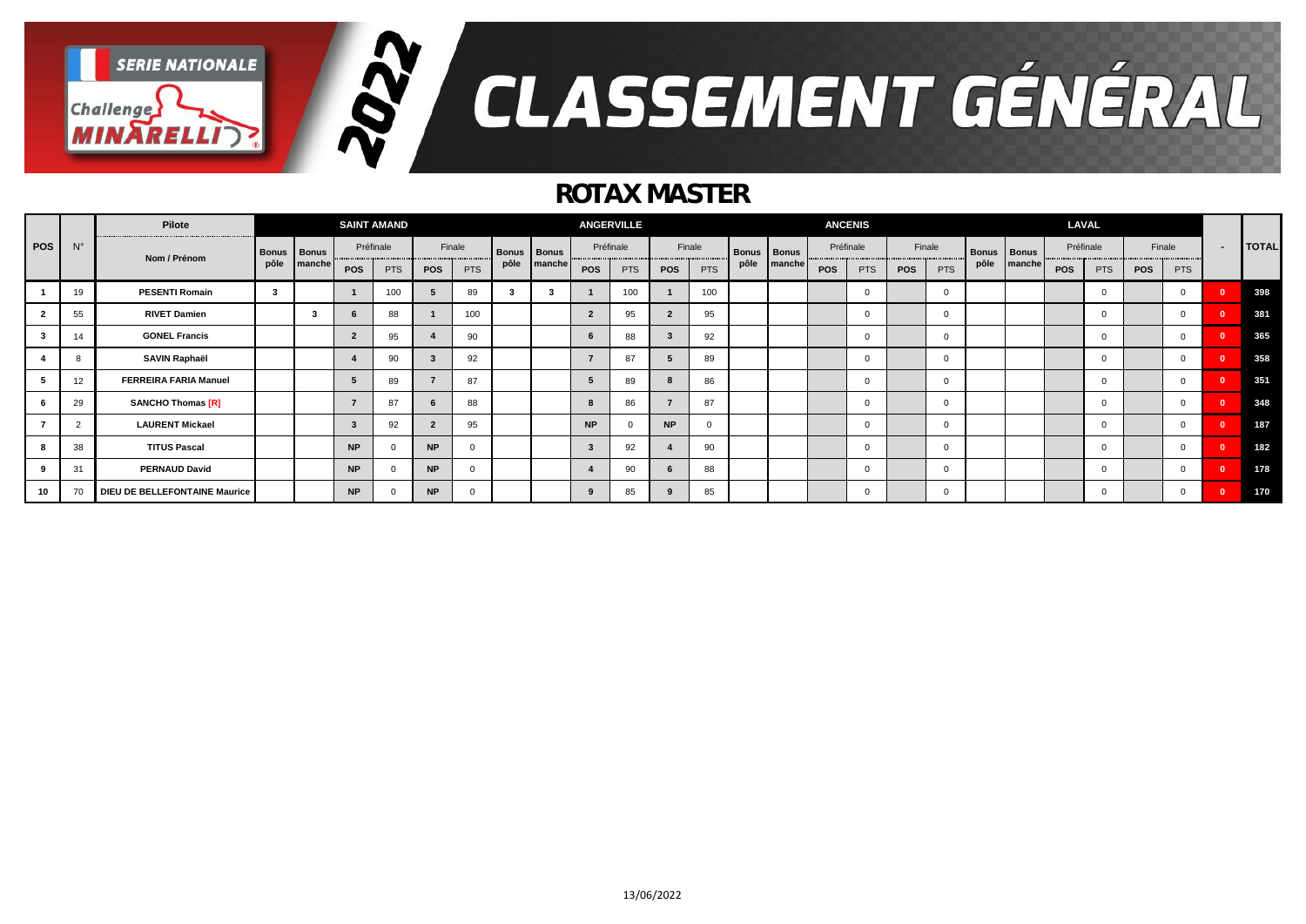

### *ROTAX MASTER*

|     |                | Pilote                        |               |        |                | <b>SAINT AMAND</b> |                |            |              |              |            | <b>ANGERVILLE</b> |                |            |                    |        |     | <b>ANCENIS</b> |     |            |              |              |            | LAVAL        |            |            |                |              |
|-----|----------------|-------------------------------|---------------|--------|----------------|--------------------|----------------|------------|--------------|--------------|------------|-------------------|----------------|------------|--------------------|--------|-----|----------------|-----|------------|--------------|--------------|------------|--------------|------------|------------|----------------|--------------|
| pos | $N^{\circ}$    | Nom / Prénom                  | Bonus   Bonus |        |                | Préfinale          |                | Finale     | <b>Bonus</b> | <b>Bonus</b> |            | Préfinale         |                | Finale     | <b>Bonus Bonus</b> |        |     | Préfinale      |     | Finale     | <b>Bonus</b> | <b>Bonus</b> |            | Préfinale    |            | Finale     | $\blacksquare$ | <b>TOTAL</b> |
|     |                |                               | pôle          | manche | POS            | <b>PTS</b>         | <b>POS</b>     | <b>PTS</b> | pôle         | manche       | <b>POS</b> | <b>PTS</b>        | <b>POS</b>     | <b>PTS</b> | pôle               | manche | POS | <b>PTS</b>     | POS | <b>PTS</b> | pôle         | manche       | <b>POS</b> | <b>PTS</b>   | <b>POS</b> | <b>PTS</b> |                |              |
|     | 19             | <b>PESENTI Romain</b>         | 3             |        |                | 100                | 5              | 89         |              | -3           |            | 100               |                | 100        |                    |        |     |                |     | $\Omega$   |              |              |            | $\Omega$     |            | $\Omega$   |                | 398          |
|     | 55             | <b>RIVET Damien</b>           |               | -3     | -6             | 88                 |                | 100        |              |              |            | 95                | $\overline{2}$ | 95         |                    |        |     | $\Omega$       |     | $\Omega$   |              |              |            | $^{\circ}$   |            | $\Omega$   | $\sqrt{2}$     | 381          |
|     | 14             | <b>GONEL Francis</b>          |               |        | $\overline{2}$ | 95                 | 4              | 90         |              |              |            | 88                | $\mathbf{3}$   | 92         |                    |        |     | $\mathbf 0$    |     | $\Omega$   |              |              |            | $\mathbf 0$  |            | $\Omega$   |                | 365          |
|     |                | <b>SAVIN Raphaël</b>          |               |        |                | 90                 | 3              | 92         |              |              |            | 87                |                | 89         |                    |        |     | $\mathbf 0$    |     | $\Omega$   |              |              |            | $\mathbf 0$  |            |            |                | 358          |
|     | 12             | <b>FERREIRA FARIA Manuel</b>  |               |        |                | 89                 | $\overline{ }$ | 87         |              |              |            | 89                | -8             | 86         |                    |        |     | $\mathbf 0$    |     | $\Omega$   |              |              |            | $^{\circ}$   |            | $\Omega$   | $\sqrt{2}$     | 351          |
|     | 29             | <b>SANCHO Thomas [R]</b>      |               |        |                | 87                 | 6              | 88         |              |              |            | 86                |                | 87         |                    |        |     |                |     | $\Omega$   |              |              |            | $\mathbf{0}$ |            | $\Omega$   | $\sqrt{2}$     | 348          |
|     | $\overline{c}$ | <b>LAURENT Mickael</b>        |               |        |                | 92                 | $\overline{2}$ | 95         |              |              | <b>NP</b>  |                   | <b>NP</b>      | $\Omega$   |                    |        |     | $\mathbf 0$    |     | $\Omega$   |              |              |            | $^{\circ}$   |            | $\Omega$   | $\sqrt{2}$     | 187          |
|     | 38             | <b>TITUS Pascal</b>           |               |        | <b>NP</b>      |                    | <b>NP</b>      |            |              |              |            | 92                |                | 90         |                    |        |     | $\Omega$       |     | $\Omega$   |              |              |            | $\mathbf{0}$ |            | $\Omega$   | $\sqrt{2}$     | 182          |
|     | 31             | <b>PERNAUD David</b>          |               |        | <b>NP</b>      |                    | <b>NP</b>      | - 0        |              |              |            | 90                | - 6            | 88         |                    |        |     | $\mathbf 0$    |     | $\Omega$   |              |              |            | $\mathbf{0}$ |            | $\Omega$   | $\Omega$       | 178          |
| 10  | 70             | DIEU DE BELLEFONTAINE Maurice |               |        | <b>NP</b>      |                    | <b>NP</b>      |            |              |              |            | 85                |                | 85         |                    |        |     | 0              |     | $\Omega$   |              |              |            | $\mathbf 0$  |            | 0          |                | 170          |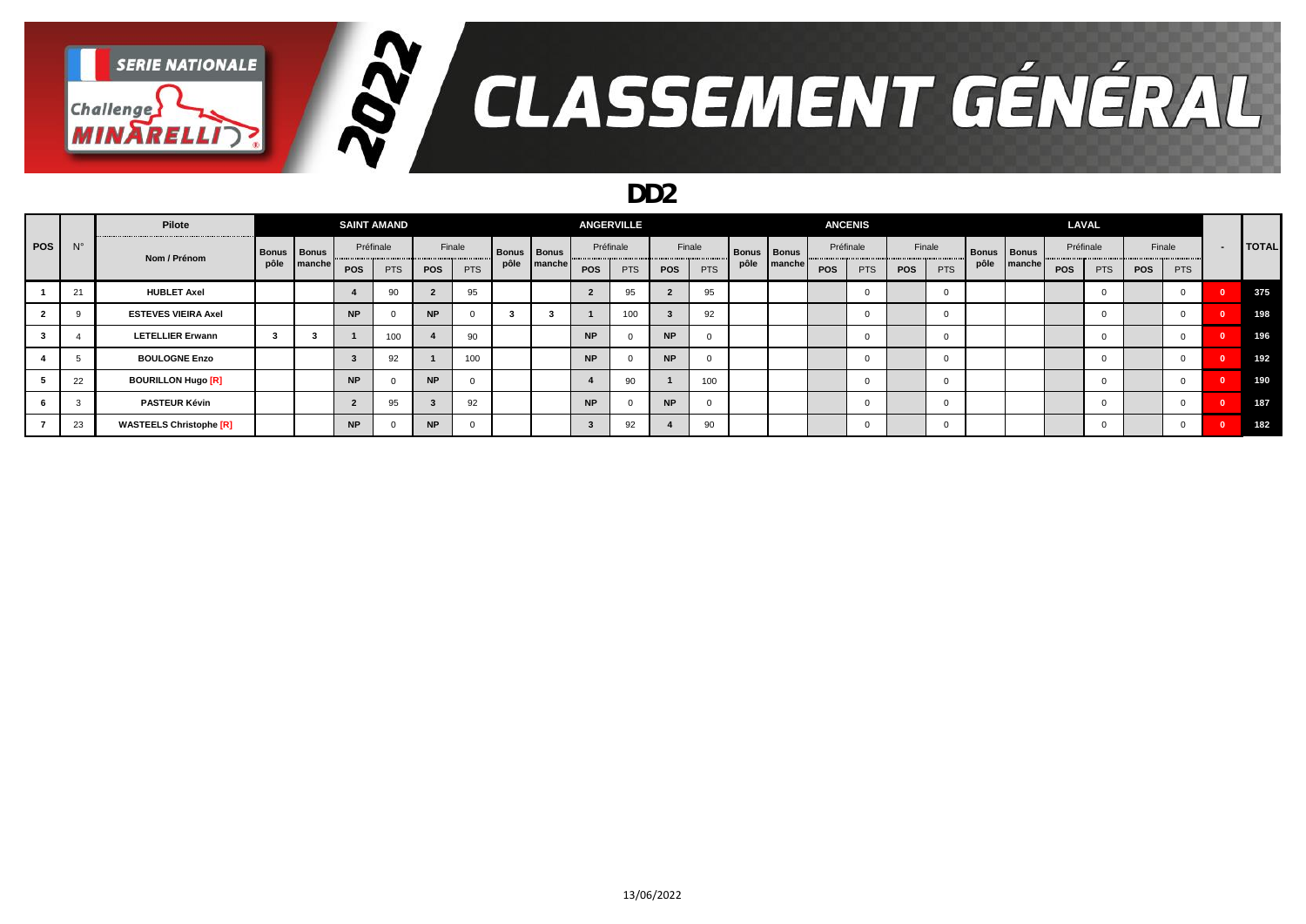

#### *DD2*

|       |             | Pilote                         |               |        | <b>SAINT AMAND</b> |            |           |            |                    |        |            | <b>ANGERVILLE</b> |           |            |                    |        |            | <b>ANCENIS</b> |     |            |                    |        | LAVAL      |     |     |            |                |              |
|-------|-------------|--------------------------------|---------------|--------|--------------------|------------|-----------|------------|--------------------|--------|------------|-------------------|-----------|------------|--------------------|--------|------------|----------------|-----|------------|--------------------|--------|------------|-----|-----|------------|----------------|--------------|
| POS I | $N^{\circ}$ | Nom / Prénom                   | Bonus   Bonus |        |                    | Préfinale  |           | Finale     | <b>Bonus</b> Bonus |        |            | Préfinale         |           | Finale     | <b>Bonus</b> Bonus |        |            | Préfinale      |     | Finale     | <b>Bonus Bonus</b> |        | Préfinale  |     |     | Finale     | $\blacksquare$ | <b>TOTAL</b> |
|       |             |                                | pôle          | manche | POS                | <b>PTS</b> | POS       | <b>PTS</b> | pôle               | manche | <b>POS</b> | <b>PTS</b>        | POS       | <b>PTS</b> | pôle               | manche | <b>POS</b> | <b>PTS</b>     | POS | <b>PTS</b> | pôle               | manche | <b>POS</b> | PTS | POS | <b>PTS</b> |                |              |
|       | 21          | <b>HUBLET Axel</b>             |               |        |                    | 90         |           | 95         |                    |        |            | 95                |           | 95         |                    |        |            | $\mathbf 0$    |     |            |                    |        |            |     |     |            |                | 375          |
|       |             | <b>ESTEVES VIEIRA Axel</b>     |               |        | <b>NP</b>          |            | <b>NP</b> |            |                    |        |            | 100               |           | 92         |                    |        |            | $\mathbf 0$    |     |            |                    |        |            |     |     |            |                | 198          |
|       |             | <b>LETELLIER Erwann</b>        |               |        |                    | 100        |           | 90         |                    |        | <b>NP</b>  |                   | <b>NP</b> |            |                    |        |            | $\mathbf 0$    |     |            |                    |        |            |     |     |            |                | 196          |
|       |             | <b>BOULOGNE Enzo</b>           |               |        |                    | 92         |           | 100        |                    |        | <b>NP</b>  |                   | <b>NP</b> |            |                    |        |            | $\mathbf 0$    |     |            |                    |        |            |     |     |            |                | 192          |
|       | 22          | <b>BOURILLON Hugo [R]</b>      |               |        | <b>NP</b>          |            | <b>NP</b> |            |                    |        |            | 90                |           | 100        |                    |        |            | $\mathbf 0$    |     |            |                    |        |            |     |     |            |                | 190          |
|       |             | <b>PASTEUR Kévin</b>           |               |        |                    | 95         |           | 92         |                    |        | <b>NP</b>  |                   | <b>NP</b> |            |                    |        |            | $\mathbf 0$    |     |            |                    |        |            |     |     |            |                | 187          |
|       | 23          | <b>WASTEELS Christophe [R]</b> |               |        | <b>NP</b>          |            | <b>NP</b> |            |                    |        |            | 92                |           | 90         |                    |        |            | $\mathbf 0$    |     |            |                    |        |            |     |     |            |                | 182          |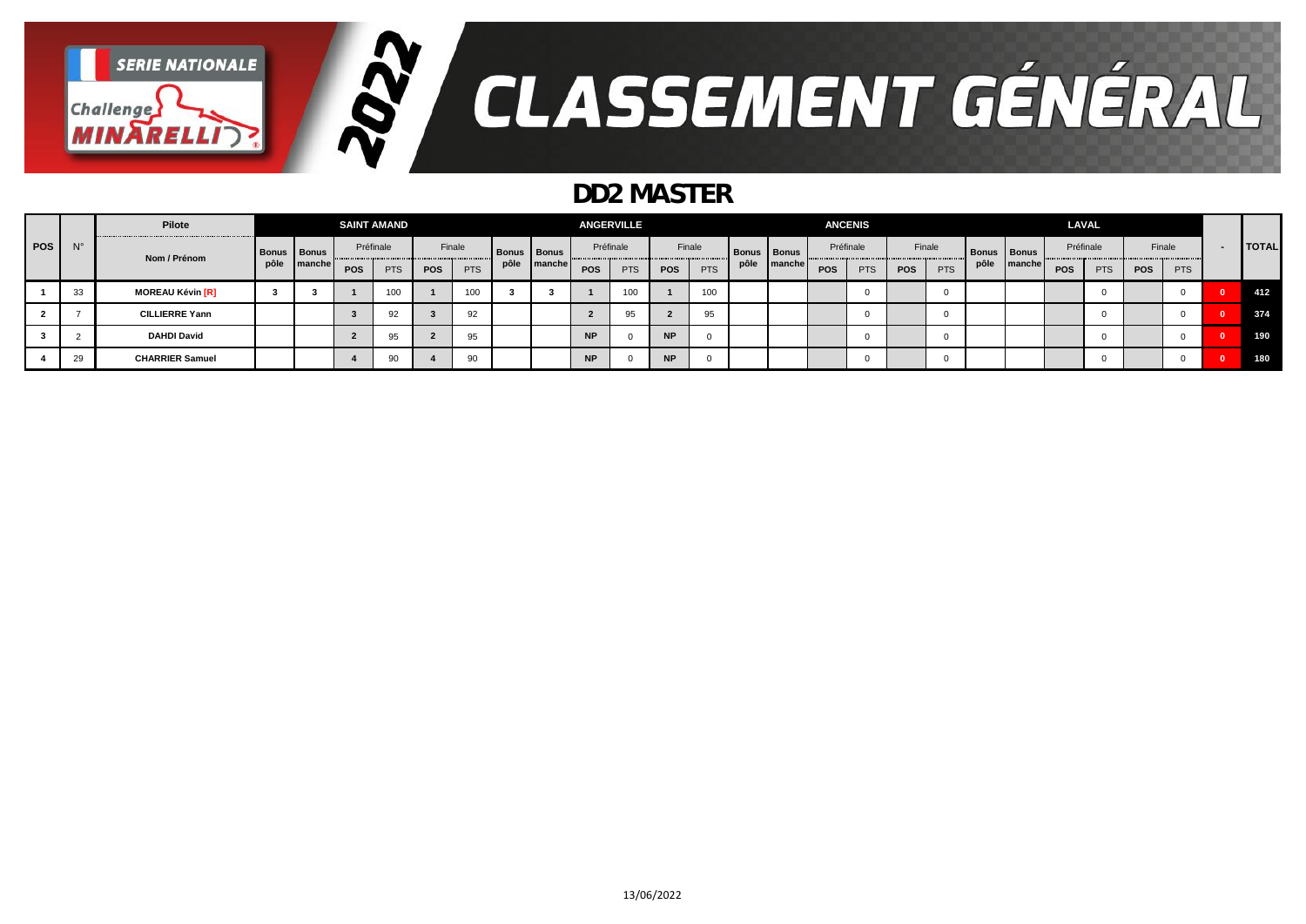

### *DD2 MASTER*

|     |             | Pilote                  |                    |        |     | <b>SAINT AMAND</b> |            |            |      |               |            | <b>ANGERVILLE</b> |           |            |                    |        |           | <b>ANCENIS</b> |     |            |      |                    | <b>LAVAL</b> |            |            |            |              |
|-----|-------------|-------------------------|--------------------|--------|-----|--------------------|------------|------------|------|---------------|------------|-------------------|-----------|------------|--------------------|--------|-----------|----------------|-----|------------|------|--------------------|--------------|------------|------------|------------|--------------|
| POS | $N^{\circ}$ | Nom / Prénom            | <b>Bonus</b> Bonus |        |     | Préfinale          |            | Finale     |      | Bonus   Bonus | Préfinale  |                   |           | Finale     | <b>Bonus Bonus</b> |        | Préfinale |                |     | Finale     |      | <b>Bonus Bonus</b> | Préfinale    |            | Finale     |            | <b>TOTAL</b> |
|     |             |                         | pôle               | manche | POS | <b>PTS</b>         | <b>POS</b> | <b>PTS</b> | pôle | manche        | <b>POS</b> | <b>PTS</b>        | POS       | <b>PTS</b> | pôle               | manche | POS       | <b>PTS</b>     | POS | <b>PTS</b> | pôle | manchel            | POS          | <b>PTS</b> | <b>POS</b> | <b>PTS</b> |              |
|     | 33          | <b>MOREAU Kévin [R]</b> |                    |        |     | 100                |            | 100        |      |               |            | 100               |           | 100        |                    |        |           |                |     |            |      |                    |              |            |            |            | 412          |
|     |             | <b>CILLIERRE Yann</b>   |                    |        |     | 92                 |            | 92         |      |               |            | 95                |           | 95         |                    |        |           |                |     |            |      |                    |              |            |            |            | 374          |
|     |             | <b>DAHDI David</b>      |                    |        |     | 95                 |            | 95         |      |               | <b>NP</b>  |                   | <b>NP</b> |            |                    |        |           |                |     |            |      |                    |              |            |            |            | 190          |
|     | 29          | <b>CHARRIER Samuel</b>  |                    |        |     | 90                 |            | 90         |      |               | <b>NP</b>  |                   | <b>NP</b> |            |                    |        |           |                |     |            |      |                    |              |            |            |            | 180          |